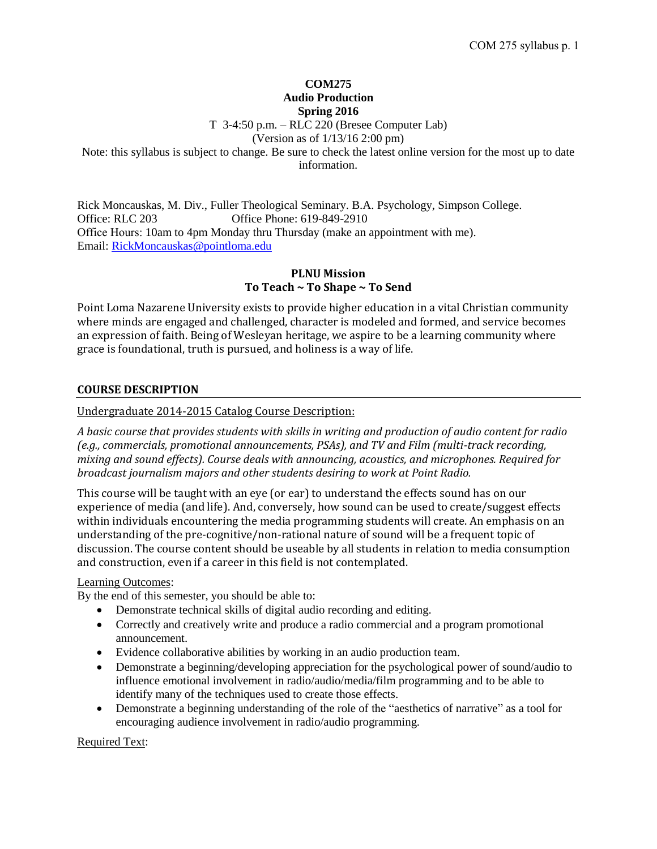# **COM275 Audio Production Spring 2016**

T 3-4:50 p.m. – RLC 220 (Bresee Computer Lab)

(Version as of 1/13/16 2:00 pm)

Note: this syllabus is subject to change. Be sure to check the latest online version for the most up to date information.

Rick Moncauskas, M. Div., Fuller Theological Seminary. B.A. Psychology, Simpson College. Office: RLC 203 Office Phone: 619-849-2910 Office Hours: 10am to 4pm Monday thru Thursday (make an appointment with me). Email: [RickMoncauskas@pointloma.edu](mailto:RickMoncauskas@pointloma.edu)

# **PLNU Mission To Teach ~ To Shape ~ To Send**

Point Loma Nazarene University exists to provide higher education in a vital Christian community where minds are engaged and challenged, character is modeled and formed, and service becomes an expression of faith. Being of Wesleyan heritage, we aspire to be a learning community where grace is foundational, truth is pursued, and holiness is a way of life.

# **COURSE DESCRIPTION**

Undergraduate 2014-2015 Catalog Course Description:

*A basic course that provides students with skills in writing and production of audio content for radio (e.g., commercials, promotional announcements, PSAs), and TV and Film (multi-track recording, mixing and sound effects). Course deals with announcing, acoustics, and microphones. Required for broadcast journalism majors and other students desiring to work at Point Radio.*

This course will be taught with an eye (or ear) to understand the effects sound has on our experience of media (and life). And, conversely, how sound can be used to create/suggest effects within individuals encountering the media programming students will create. An emphasis on an understanding of the pre-cognitive/non-rational nature of sound will be a frequent topic of discussion. The course content should be useable by all students in relation to media consumption and construction, even if a career in this field is not contemplated.

# Learning Outcomes:

By the end of this semester, you should be able to:

- Demonstrate technical skills of digital audio recording and editing.
- Correctly and creatively write and produce a radio commercial and a program promotional announcement.
- Evidence collaborative abilities by working in an audio production team.
- Demonstrate a beginning/developing appreciation for the psychological power of sound/audio to influence emotional involvement in radio/audio/media/film programming and to be able to identify many of the techniques used to create those effects.
- Demonstrate a beginning understanding of the role of the "aesthetics of narrative" as a tool for encouraging audience involvement in radio/audio programming.

Required Text: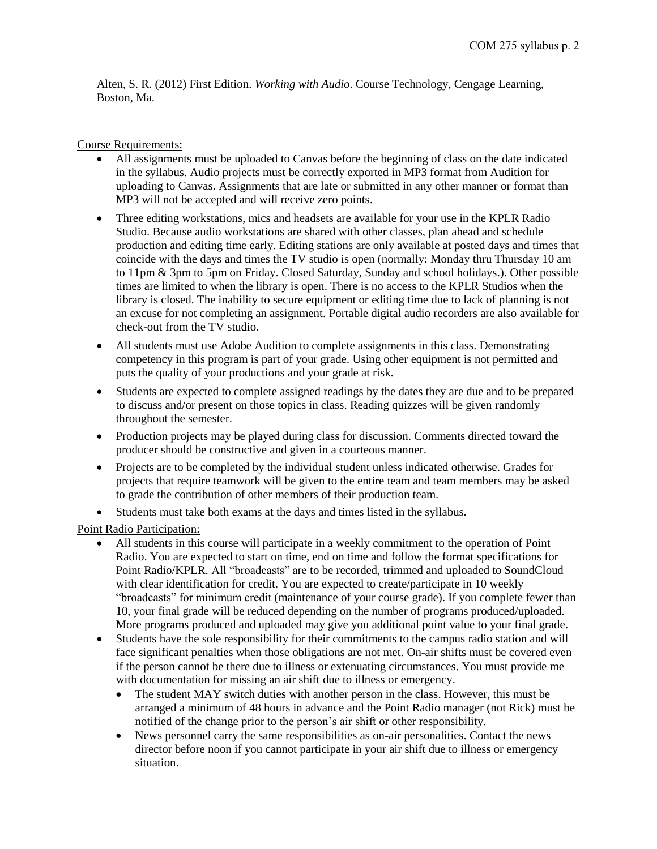Alten, S. R. (2012) First Edition. *Working with Audio*. Course Technology, Cengage Learning, Boston, Ma.

# Course Requirements:

- All assignments must be uploaded to Canvas before the beginning of class on the date indicated in the syllabus. Audio projects must be correctly exported in MP3 format from Audition for uploading to Canvas. Assignments that are late or submitted in any other manner or format than MP3 will not be accepted and will receive zero points.
- Three editing workstations, mics and headsets are available for your use in the KPLR Radio Studio. Because audio workstations are shared with other classes, plan ahead and schedule production and editing time early. Editing stations are only available at posted days and times that coincide with the days and times the TV studio is open (normally: Monday thru Thursday 10 am to 11pm & 3pm to 5pm on Friday. Closed Saturday, Sunday and school holidays.). Other possible times are limited to when the library is open. There is no access to the KPLR Studios when the library is closed. The inability to secure equipment or editing time due to lack of planning is not an excuse for not completing an assignment. Portable digital audio recorders are also available for check-out from the TV studio.
- All students must use Adobe Audition to complete assignments in this class. Demonstrating competency in this program is part of your grade. Using other equipment is not permitted and puts the quality of your productions and your grade at risk.
- Students are expected to complete assigned readings by the dates they are due and to be prepared to discuss and/or present on those topics in class. Reading quizzes will be given randomly throughout the semester.
- Production projects may be played during class for discussion. Comments directed toward the producer should be constructive and given in a courteous manner.
- Projects are to be completed by the individual student unless indicated otherwise. Grades for projects that require teamwork will be given to the entire team and team members may be asked to grade the contribution of other members of their production team.
- Students must take both exams at the days and times listed in the syllabus.

Point Radio Participation:

- All students in this course will participate in a weekly commitment to the operation of Point Radio. You are expected to start on time, end on time and follow the format specifications for Point Radio/KPLR. All "broadcasts" are to be recorded, trimmed and uploaded to SoundCloud with clear identification for credit. You are expected to create/participate in 10 weekly "broadcasts" for minimum credit (maintenance of your course grade). If you complete fewer than 10, your final grade will be reduced depending on the number of programs produced/uploaded. More programs produced and uploaded may give you additional point value to your final grade.
- Students have the sole responsibility for their commitments to the campus radio station and will face significant penalties when those obligations are not met. On-air shifts must be covered even if the person cannot be there due to illness or extenuating circumstances. You must provide me with documentation for missing an air shift due to illness or emergency.
	- The student MAY switch duties with another person in the class. However, this must be arranged a minimum of 48 hours in advance and the Point Radio manager (not Rick) must be notified of the change prior to the person's air shift or other responsibility.
	- News personnel carry the same responsibilities as on-air personalities. Contact the news director before noon if you cannot participate in your air shift due to illness or emergency situation.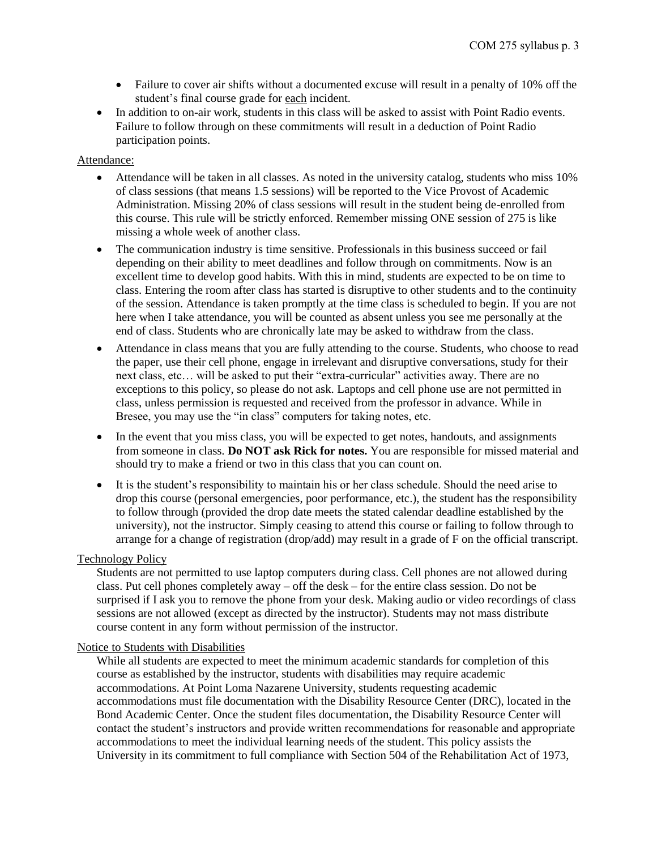- Failure to cover air shifts without a documented excuse will result in a penalty of 10% off the student's final course grade for each incident.
- In addition to on-air work, students in this class will be asked to assist with Point Radio events. Failure to follow through on these commitments will result in a deduction of Point Radio participation points.

#### Attendance:

- Attendance will be taken in all classes. As noted in the university catalog, students who miss 10% of class sessions (that means 1.5 sessions) will be reported to the Vice Provost of Academic Administration. Missing 20% of class sessions will result in the student being de-enrolled from this course. This rule will be strictly enforced. Remember missing ONE session of 275 is like missing a whole week of another class.
- The communication industry is time sensitive. Professionals in this business succeed or fail depending on their ability to meet deadlines and follow through on commitments. Now is an excellent time to develop good habits. With this in mind, students are expected to be on time to class. Entering the room after class has started is disruptive to other students and to the continuity of the session. Attendance is taken promptly at the time class is scheduled to begin. If you are not here when I take attendance, you will be counted as absent unless you see me personally at the end of class. Students who are chronically late may be asked to withdraw from the class.
- Attendance in class means that you are fully attending to the course. Students, who choose to read the paper, use their cell phone, engage in irrelevant and disruptive conversations, study for their next class, etc… will be asked to put their "extra-curricular" activities away. There are no exceptions to this policy, so please do not ask. Laptops and cell phone use are not permitted in class, unless permission is requested and received from the professor in advance. While in Bresee, you may use the "in class" computers for taking notes, etc.
- In the event that you miss class, you will be expected to get notes, handouts, and assignments from someone in class. **Do NOT ask Rick for notes.** You are responsible for missed material and should try to make a friend or two in this class that you can count on.
- It is the student's responsibility to maintain his or her class schedule. Should the need arise to drop this course (personal emergencies, poor performance, etc.), the student has the responsibility to follow through (provided the drop date meets the stated calendar deadline established by the university), not the instructor. Simply ceasing to attend this course or failing to follow through to arrange for a change of registration (drop/add) may result in a grade of F on the official transcript.

# Technology Policy

Students are not permitted to use laptop computers during class. Cell phones are not allowed during class. Put cell phones completely away – off the desk – for the entire class session. Do not be surprised if I ask you to remove the phone from your desk. Making audio or video recordings of class sessions are not allowed (except as directed by the instructor). Students may not mass distribute course content in any form without permission of the instructor.

# Notice to Students with Disabilities

While all students are expected to meet the minimum academic standards for completion of this course as established by the instructor, students with disabilities may require academic accommodations. At Point Loma Nazarene University, students requesting academic accommodations must file documentation with the Disability Resource Center (DRC), located in the Bond Academic Center. Once the student files documentation, the Disability Resource Center will contact the student's instructors and provide written recommendations for reasonable and appropriate accommodations to meet the individual learning needs of the student. This policy assists the University in its commitment to full compliance with Section 504 of the Rehabilitation Act of 1973,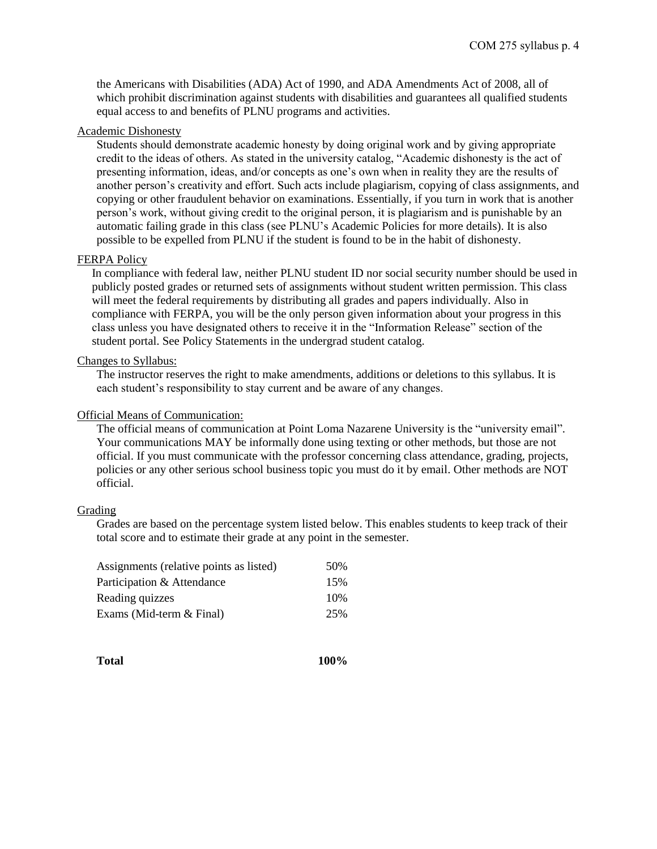the Americans with Disabilities (ADA) Act of 1990, and ADA Amendments Act of 2008, all of which prohibit discrimination against students with disabilities and guarantees all qualified students equal access to and benefits of PLNU programs and activities.

# Academic Dishonesty

Students should demonstrate academic honesty by doing original work and by giving appropriate credit to the ideas of others. As stated in the university catalog, "Academic dishonesty is the act of presenting information, ideas, and/or concepts as one's own when in reality they are the results of another person's creativity and effort. Such acts include plagiarism, copying of class assignments, and copying or other fraudulent behavior on examinations. Essentially, if you turn in work that is another person's work, without giving credit to the original person, it is plagiarism and is punishable by an automatic failing grade in this class (see PLNU's Academic Policies for more details). It is also possible to be expelled from PLNU if the student is found to be in the habit of dishonesty.

# FERPA Policy

In compliance with federal law, neither PLNU student ID nor social security number should be used in publicly posted grades or returned sets of assignments without student written permission. This class will meet the federal requirements by distributing all grades and papers individually. Also in compliance with FERPA, you will be the only person given information about your progress in this class unless you have designated others to receive it in the "Information Release" section of the student portal. See Policy Statements in the undergrad student catalog.

#### Changes to Syllabus:

The instructor reserves the right to make amendments, additions or deletions to this syllabus. It is each student's responsibility to stay current and be aware of any changes.

#### Official Means of Communication:

The official means of communication at Point Loma Nazarene University is the "university email". Your communications MAY be informally done using texting or other methods, but those are not official. If you must communicate with the professor concerning class attendance, grading, projects, policies or any other serious school business topic you must do it by email. Other methods are NOT official.

# Grading

Grades are based on the percentage system listed below. This enables students to keep track of their total score and to estimate their grade at any point in the semester.

| Assignments (relative points as listed) | 50% |
|-----------------------------------------|-----|
| Participation & Attendance              | 15% |
| Reading quizzes                         | 10% |
| Exams (Mid-term & Final)                | 25% |

**Total 100%**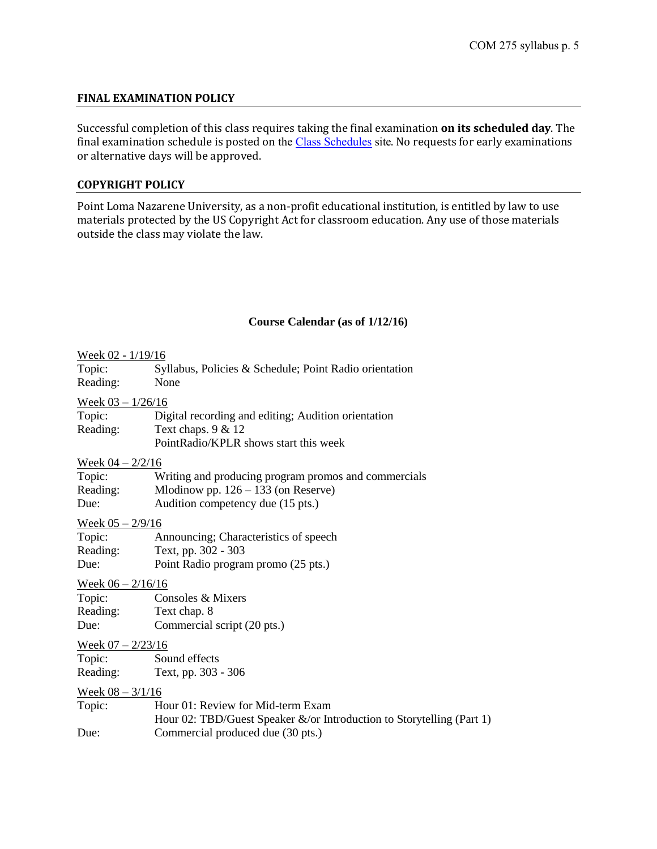# **FINAL EXAMINATION POLICY**

Successful completion of this class requires taking the final examination **on its scheduled day**. The final examination schedule is posted on the [Class Schedules](http://www.pointloma.edu/experience/academics/class-schedules) site. No requests for early examinations or alternative days will be approved.

# **COPYRIGHT POLICY**

Point Loma Nazarene University, as a non-profit educational institution, is entitled by law to use materials protected by the US Copyright Act for classroom education. Any use of those materials outside the class may violate the law.

# **Course Calendar (as of 1/12/16)**

| Week 02 - 1/19/16           |                                                                       |
|-----------------------------|-----------------------------------------------------------------------|
| Topic:                      | Syllabus, Policies & Schedule; Point Radio orientation                |
| Reading:                    | None                                                                  |
| Week $03 - 1/26/16$         |                                                                       |
| Topic:                      | Digital recording and editing; Audition orientation                   |
| Reading:                    | Text chaps. 9 & 12                                                    |
|                             | PointRadio/KPLR shows start this week                                 |
| Week $04 - 2/2/16$          |                                                                       |
| Topic:                      | Writing and producing program promos and commercials                  |
| Reading:                    | Mlodinow pp. $126 - 133$ (on Reserve)                                 |
| Due:                        | Audition competency due (15 pts.)                                     |
| Week $05 - \frac{2}{9}$ 16  |                                                                       |
| Topic:                      | Announcing; Characteristics of speech                                 |
| Reading:                    | Text, pp. 302 - 303                                                   |
| Due:                        | Point Radio program promo (25 pts.)                                   |
| Week $06 - 2/16/16$         |                                                                       |
| Topic:                      | Consoles & Mixers                                                     |
| Reading:                    | Text chap. 8                                                          |
| Due:                        | Commercial script (20 pts.)                                           |
| Week $07 - \frac{2}{23/16}$ |                                                                       |
| Topic:                      | Sound effects                                                         |
|                             | Reading: Text, pp. 303 - 306                                          |
| Week $08 - 3/1/16$          |                                                                       |
| Topic:                      | Hour 01: Review for Mid-term Exam                                     |
|                             | Hour 02: TBD/Guest Speaker &/or Introduction to Storytelling (Part 1) |
| Due:                        | Commercial produced due (30 pts.)                                     |